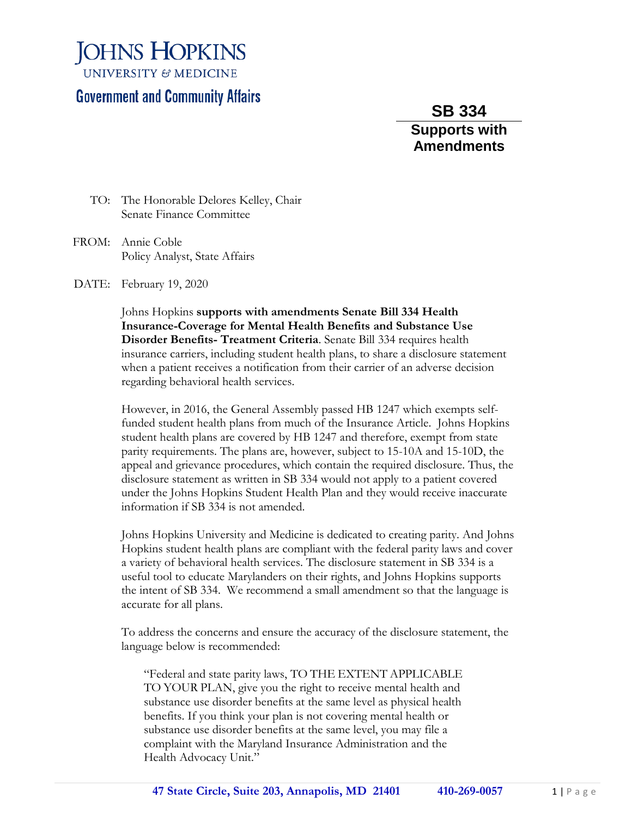**JOHNS HOPKINS UNIVERSITY & MEDICINE** 

## **Government and Community Affairs**

**SB 334 Supports with Amendments**

- TO: The Honorable Delores Kelley, Chair Senate Finance Committee
- FROM: Annie Coble Policy Analyst, State Affairs

DATE: February 19, 2020

Johns Hopkins **supports with amendments Senate Bill 334 Health Insurance-Coverage for Mental Health Benefits and Substance Use Disorder Benefits- Treatment Criteria**. Senate Bill 334 requires health insurance carriers, including student health plans, to share a disclosure statement when a patient receives a notification from their carrier of an adverse decision regarding behavioral health services.

However, in 2016, the General Assembly passed HB 1247 which exempts selffunded student health plans from much of the Insurance Article. Johns Hopkins student health plans are covered by HB 1247 and therefore, exempt from state parity requirements. The plans are, however, subject to 15-10A and 15-10D, the appeal and grievance procedures, which contain the required disclosure. Thus, the disclosure statement as written in SB 334 would not apply to a patient covered under the Johns Hopkins Student Health Plan and they would receive inaccurate information if SB 334 is not amended.

Johns Hopkins University and Medicine is dedicated to creating parity. And Johns Hopkins student health plans are compliant with the federal parity laws and cover a variety of behavioral health services. The disclosure statement in SB 334 is a useful tool to educate Marylanders on their rights, and Johns Hopkins supports the intent of SB 334. We recommend a small amendment so that the language is accurate for all plans.

To address the concerns and ensure the accuracy of the disclosure statement, the language below is recommended:

"Federal and state parity laws, TO THE EXTENT APPLICABLE TO YOUR PLAN, give you the right to receive mental health and substance use disorder benefits at the same level as physical health benefits. If you think your plan is not covering mental health or substance use disorder benefits at the same level, you may file a complaint with the Maryland Insurance Administration and the Health Advocacy Unit."